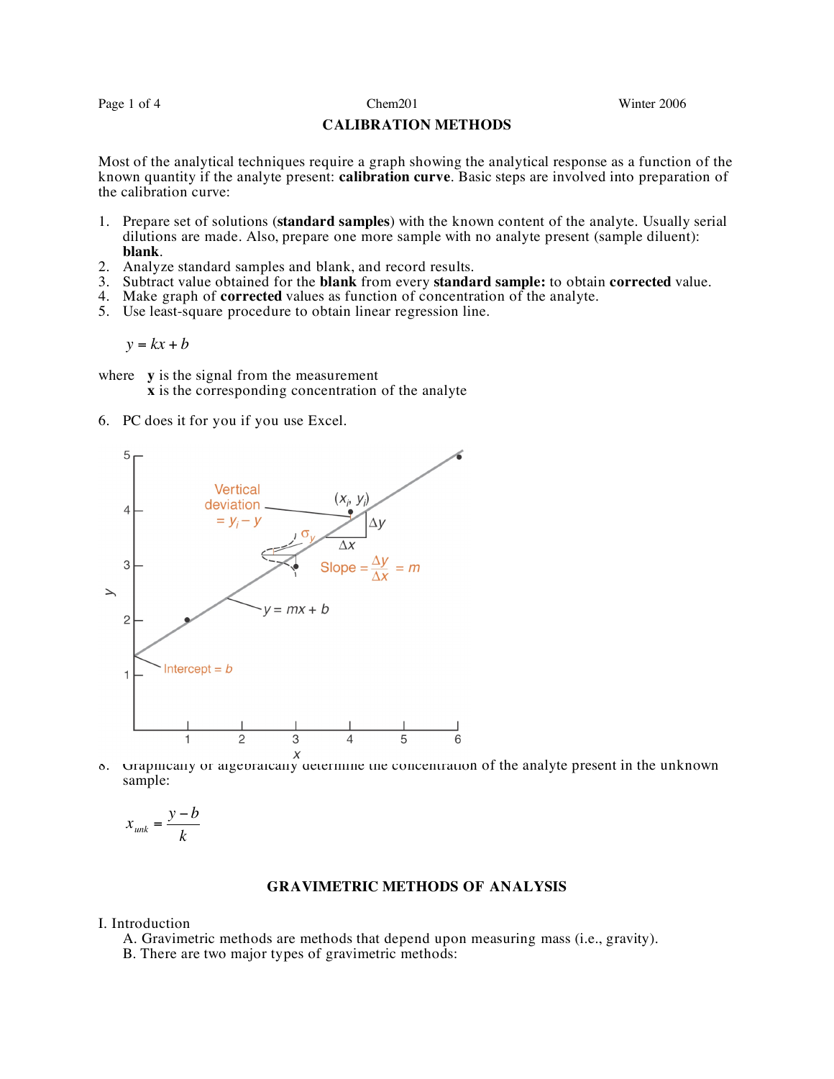Page 1 of 4 Chem201 Chem201 Winter 2006

## **CALIBRATION METHODS**

Most of the analytical techniques require a graph showing the analytical response as a function of the known quantity if the analyte present: **calibration curve**. Basic steps are involved into preparation of the calibration curve:

- 1. Prepare set of solutions (**standard samples**) with the known content of the analyte. Usually serial dilutions are made. Also, prepare one more sample with no analyte present (sample diluent): **blank**.
- 2. Analyze standard samples and blank, and record results.
- 3. Subtract value obtained for the **blank** from every **standard sample:** to obtain **corrected** value.
- 4. Make graph of **corrected** values as function of concentration of the analyte.
- 5. Use least-square procedure to obtain linear regression line.

 $y = kx + b$ 

where **y** is the signal from the measurement **x** is the corresponding concentration of the analyte

6. PC does it for you if you use Excel.



 $\begin{array}{c} x \\ \delta \end{array}$  Graphically or algebraically determine the concentration of the analyte present in the unknown sample:

$$
x_{unk} = \frac{y - b}{k}
$$

# **GRAVIMETRIC METHODS OF ANALYSIS**

I. Introduction

A. Gravimetric methods are methods that depend upon measuring mass (i.e., gravity).

B. There are two major types of gravimetric methods: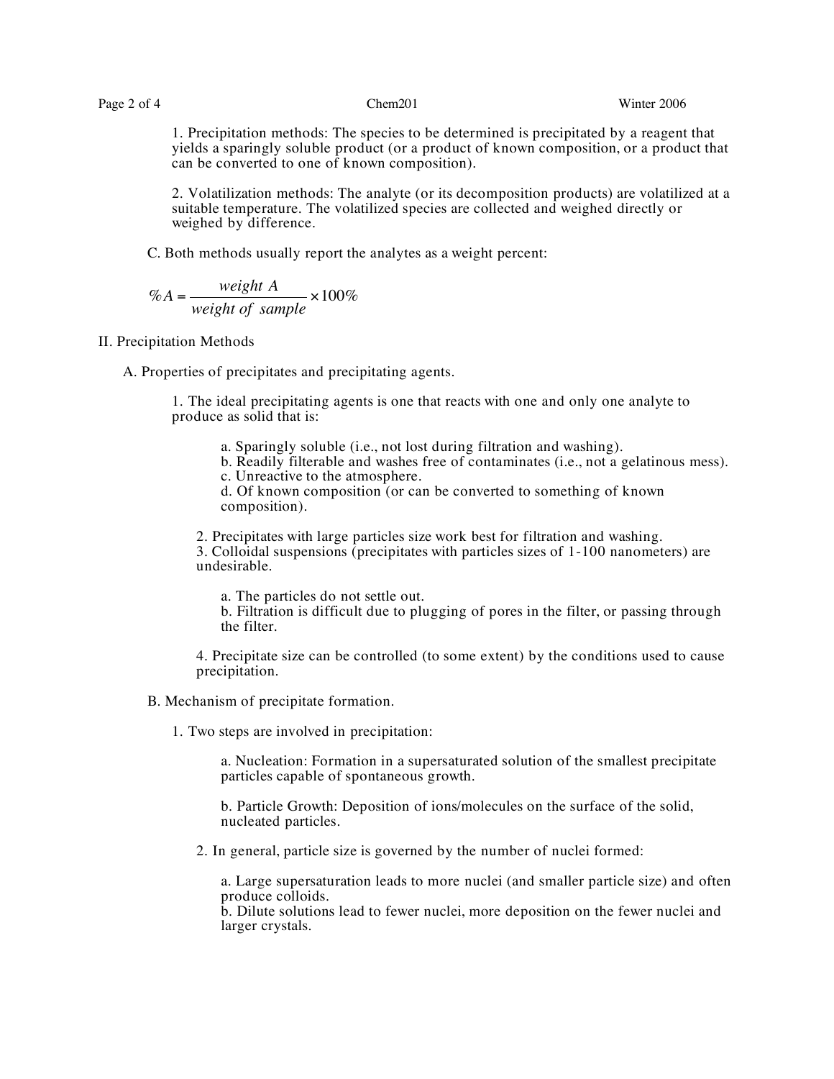1. Precipitation methods: The species to be determined is precipitated by a reagent that yields a sparingly soluble product (or a product of known composition, or a product that can be converted to one of known composition).

2. Volatilization methods: The analyte (or its decomposition products) are volatilized at a suitable temperature. The volatilized species are collected and weighed directly or weighed by difference.

C. Both methods usually report the analytes as a weight percent:

$$
\%A = \frac{weight \ A}{weight \ of \ sample} \times 100\%
$$

### II. Precipitation Methods

A. Properties of precipitates and precipitating agents.

1. The ideal precipitating agents is one that reacts with one and only one analyte to produce as solid that is:

a. Sparingly soluble (i.e., not lost during filtration and washing).

b. Readily filterable and washes free of contaminates (i.e., not a gelatinous mess).

c. Unreactive to the atmosphere.

d. Of known composition (or can be converted to something of known composition).

2. Precipitates with large particles size work best for filtration and washing.

3. Colloidal suspensions (precipitates with particles sizes of 1-100 nanometers) are undesirable.

a. The particles do not settle out.

b. Filtration is difficult due to plugging of pores in the filter, or passing through the filter.

4. Precipitate size can be controlled (to some extent) by the conditions used to cause precipitation.

B. Mechanism of precipitate formation.

1. Two steps are involved in precipitation:

a. Nucleation: Formation in a supersaturated solution of the smallest precipitate particles capable of spontaneous growth.

b. Particle Growth: Deposition of ions/molecules on the surface of the solid, nucleated particles.

2. In general, particle size is governed by the number of nuclei formed:

a. Large supersaturation leads to more nuclei (and smaller particle size) and often produce colloids.

b. Dilute solutions lead to fewer nuclei, more deposition on the fewer nuclei and larger crystals.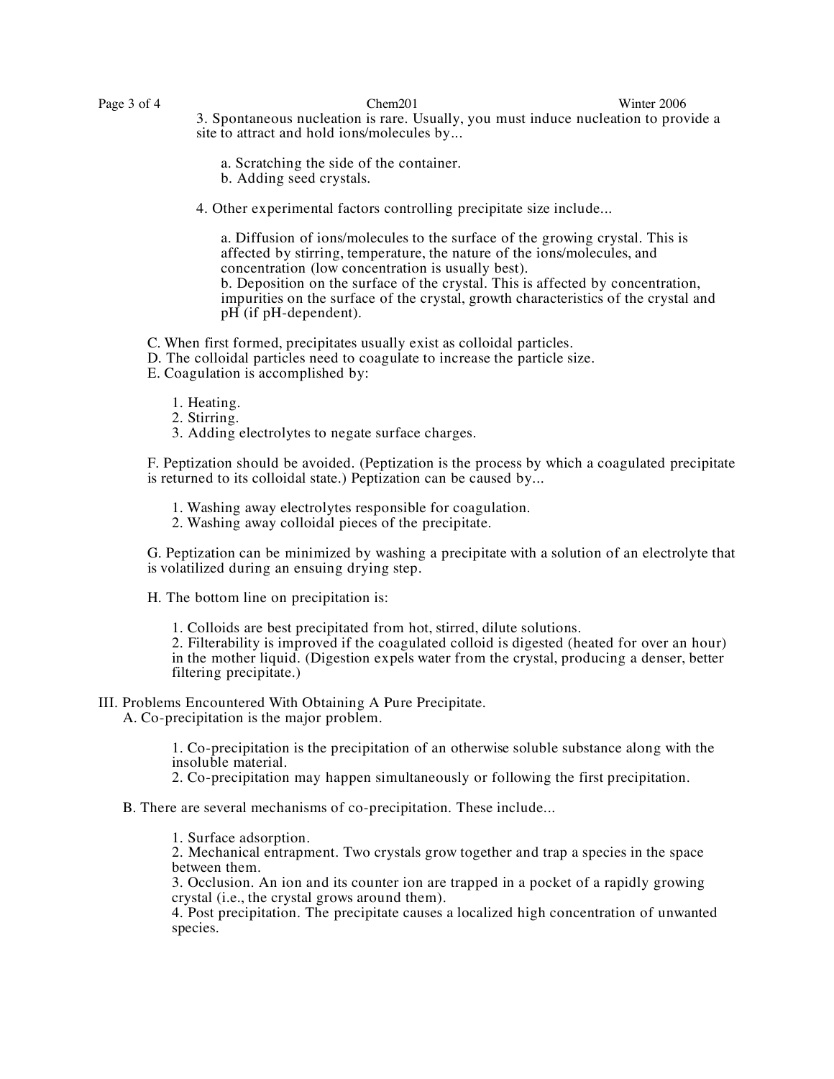Page 3 of 4 Chem201 Chem201 Winter 2006 3. Spontaneous nucleation is rare. Usually, you must induce nucleation to provide a site to attract and hold ions/molecules by...

- a. Scratching the side of the container.
- b. Adding seed crystals.
- 4. Other experimental factors controlling precipitate size include...

a. Diffusion of ions/molecules to the surface of the growing crystal. This is affected by stirring, temperature, the nature of the ions/molecules, and concentration (low concentration is usually best). b. Deposition on the surface of the crystal. This is affected by concentration, impurities on the surface of the crystal, growth characteristics of the crystal and  $pH$  (if  $pH$ -dependent).

C. When first formed, precipitates usually exist as colloidal particles.

D. The colloidal particles need to coagulate to increase the particle size.

E. Coagulation is accomplished by:

- 1. Heating.
- 2. Stirring.
- 3. Adding electrolytes to negate surface charges.

F. Peptization should be avoided. (Peptization is the process by which a coagulated precipitate is returned to its colloidal state.) Peptization can be caused by...

1. Washing away electrolytes responsible for coagulation.

2. Washing away colloidal pieces of the precipitate.

G. Peptization can be minimized by washing a precipitate with a solution of an electrolyte that is volatilized during an ensuing drying step.

H. The bottom line on precipitation is:

1. Colloids are best precipitated from hot, stirred, dilute solutions.

2. Filterability is improved if the coagulated colloid is digested (heated for over an hour) in the mother liquid. (Digestion expels water from the crystal, producing a denser, better filtering precipitate.)

# III. Problems Encountered With Obtaining A Pure Precipitate.

A. Co-precipitation is the major problem.

1. Co-precipitation is the precipitation of an otherwise soluble substance along with the insoluble material.

2. Co-precipitation may happen simultaneously or following the first precipitation.

B. There are several mechanisms of co-precipitation. These include...

1. Surface adsorption. 2. Mechanical entrapment. Two crystals grow together and trap <sup>a</sup> species in the space between them.

3. Occlusion. An ion and its counter ion are trapped in a pocket of a rapidly growing crystal (i.e., the crystal grows around them).

4. Post precipitation. The precipitate causes a localized high concentration of unwanted species.